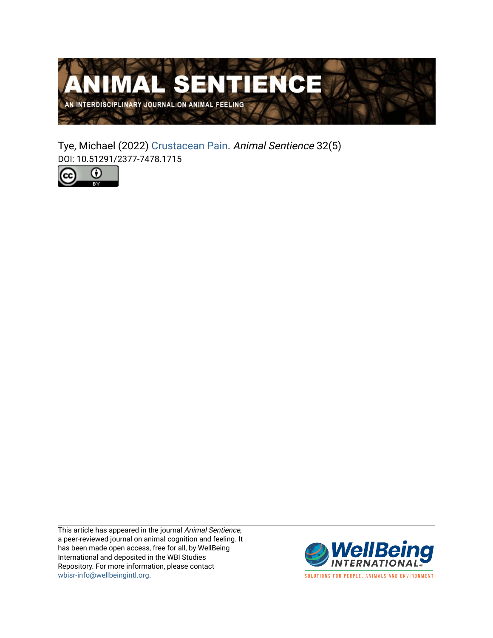

Tye, Michael (2022) [Crustacean Pain.](https://www.wellbeingintlstudiesrepository.org/animsent/vol7/iss32/5) Animal Sentience 32(5) DOI: 10.51291/2377-7478.1715



This article has appeared in the journal Animal Sentience, a peer-reviewed journal on animal cognition and feeling. It has been made open access, free for all, by WellBeing International and deposited in the WBI Studies Repository. For more information, please contact [wbisr-info@wellbeingintl.org](mailto:wbisr-info@wellbeingintl.org).



SOLUTIONS FOR PEOPLE, ANIMALS AND ENVIRONMENT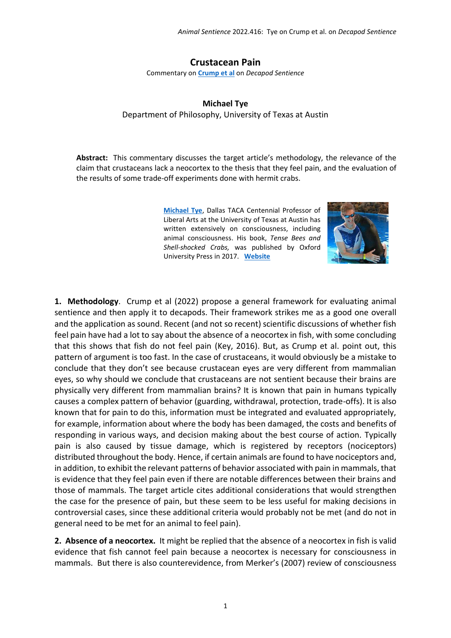## **Crustacean Pain**

Commentary on **[Crump et al](https://www.wellbeingintlstudiesrepository.org/animsent/vol7/iss32/1)** on *Decapod Sentience*

## **Michael Tye** Department of Philosophy, University of Texas at Austin

**Abstract:** This commentary discusses the target article's methodology, the relevance of the claim that crustaceans lack a neocortex to the thesis that they feel pain, and the evaluation of the results of some trade-off experiments done with hermit crabs.

> **[Michael Tye](http://mtye@austin.utexas.edu)**, Dallas TACA Centennial Professor of Liberal Arts at the University of Texas at Austin has written extensively on consciousness, including animal consciousness. His book, *Tense Bees and Shell-shocked Crabs,* was published by Oxford University Press in 2017. **[Website](http://www.michaeltye.us/)**



**1. Methodology**. Crump et al (2022) propose a general framework for evaluating animal sentience and then apply it to decapods. Their framework strikes me as a good one overall and the application as sound. Recent (and not so recent) scientific discussions of whether fish feel pain have had a lot to say about the absence of a neocortex in fish, with some concluding that this shows that fish do not feel pain (Key, 2016). But, as Crump et al. point out, this pattern of argument is too fast. In the case of crustaceans, it would obviously be a mistake to conclude that they don't see because crustacean eyes are very different from mammalian eyes, so why should we conclude that crustaceans are not sentient because their brains are physically very different from mammalian brains? It is known that pain in humans typically causes a complex pattern of behavior (guarding, withdrawal, protection, trade-offs). It is also known that for pain to do this, information must be integrated and evaluated appropriately, for example, information about where the body has been damaged, the costs and benefits of responding in various ways, and decision making about the best course of action. Typically pain is also caused by tissue damage, which is registered by receptors (nociceptors) distributed throughout the body. Hence, if certain animals are found to have nociceptors and, in addition, to exhibit the relevant patterns of behavior associated with pain in mammals, that is evidence that they feel pain even if there are notable differences between their brains and those of mammals. The target article cites additional considerations that would strengthen the case for the presence of pain, but these seem to be less useful for making decisions in controversial cases, since these additional criteria would probably not be met (and do not in general need to be met for an animal to feel pain).

**2. Absence of a neocortex.** It might be replied that the absence of a neocortex in fish is valid evidence that fish cannot feel pain because a neocortex is necessary for consciousness in mammals. But there is also counterevidence, from Merker's (2007) review of consciousness